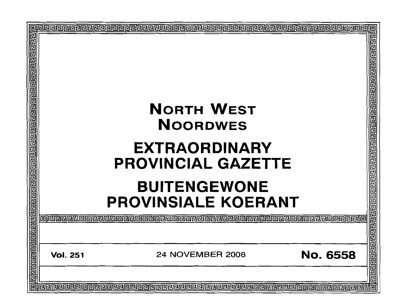| <u> बाह्य बाह्य बाह्य बाह्य बाह्य बाह्य बाह्य बाह्य बाह्य बाह्य बाह्य बाह्य बाह्य बाह्य बाह्य बाह्य बाह्य बा</u> |                                                   |                                                   | 己                  |  |  |
|------------------------------------------------------------------------------------------------------------------|---------------------------------------------------|---------------------------------------------------|--------------------|--|--|
|                                                                                                                  | <b>NORTH WEST</b><br><b>NOORDWES</b>              |                                                   |                    |  |  |
|                                                                                                                  |                                                   | <b>EXTRAORDINARY</b><br><b>PROVINCIAL GAZETTE</b> |                    |  |  |
|                                                                                                                  | <b>BUITENGEWONE</b><br><b>PROVINSIALE KOERANT</b> |                                                   |                    |  |  |
|                                                                                                                  | alenae                                            |                                                   | ग ग ग ग ग ग        |  |  |
|                                                                                                                  | <b>Vol. 251</b>                                   | No. 6558<br><b>24 NOVEMBER 2008</b>               | elelelelelelelelel |  |  |
|                                                                                                                  |                                                   |                                                   | 庖                  |  |  |
|                                                                                                                  |                                                   |                                                   |                    |  |  |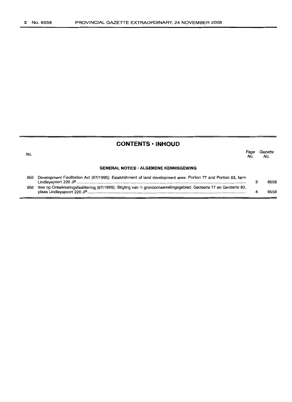## **CONTENTS -INHOUD**

| No. |                                                                                                                       | Page<br>No. | Gazette<br>No. |
|-----|-----------------------------------------------------------------------------------------------------------------------|-------------|----------------|
|     | <b>GENERAL NOTICE · ALGEMENE KENNISGEWING</b>                                                                         |             |                |
| 656 | Development Facilitation Act (67/1995): Establishment of land development area: Portion 77 and Portion 83, farm       |             | 6558           |
|     | 656 Wet op Ontwikkelingsfasilitering (67/1995): Stigting van 'n grondontwikkelingsgebied: Gedeelte 77 en Gedeelte 83, |             | 6558           |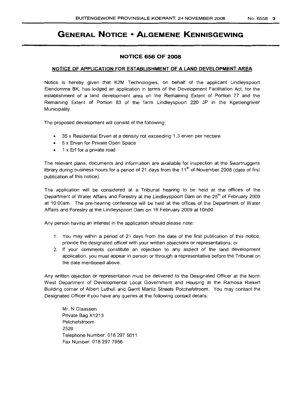# **GENERAL NOTICE • ALGEMENE KENNISGEWING**

#### **NOTICE 656 OF 2008**

#### **NOTICE OF APPLICATION FOR ESTABLISHMENT OF A LAND DEVELOPMENT AREA**

Notice is hereby given that K2M Technologies, on behalf of the applicant Lindleyspoort Eiendomme BK, has lodged an application in terms of the Development Facilitation Act, for the establishment of a land development area on the Remaining Extent of Portion 77 and the Remaining Extent of Portion 83 of the farm Lindleyspoort 220 JP in the Kgetlengrivier Municipality.

The proposed development will consist of the following:

- 35 x Residential Erven at a density not exceeding 1,3 erven per hectare
- 5 x Erven for Private Open Space
- 1 x Erf for a private road

The relevant plans, documents and information are available for inspection at the Swartruggens library during business hours for a period of 21 days from the  $11<sup>th</sup>$  of November 2008 (date of first publication of this notice).

The application will be considered at a Tribunal hearing to be held at the offices of the Department of Water Affairs and Forestry at the Lindleyspoort Dam on the 25<sup>th</sup> of February 2009 at 10:00am. The pre-hearing conference will be held at the offices of the Department of Water Affairs and Forestry at the Lindleyspoort Dam on 18 February 2009 at 10hOO.

Any person having an interest in the application should please note:

- 1. You may within a period of 21 days from the date of the first publication of this notice, provide the designated officer with your written objections or representations; or
- 2. If your comments constitute an objection to any aspect of the land development application, you must appear in person or through a representative before the Tribunal on the date mentioned above.

Any written objection or representation must be delivered to the Designated Officer at the North West Department of Developmental Local Government and Housing at the Ramosa Riekert Building corner of Albert Luthuli and Gerrit Martiz Streets Potchefstroom. You may contact the Designated Officer if you have any queries at the following contact details:

Mr. N Claassen Private Bag X1213 Potchefstroom 2520 Telephone Number: 018 297 5011 Fax Number: 018 297 7956